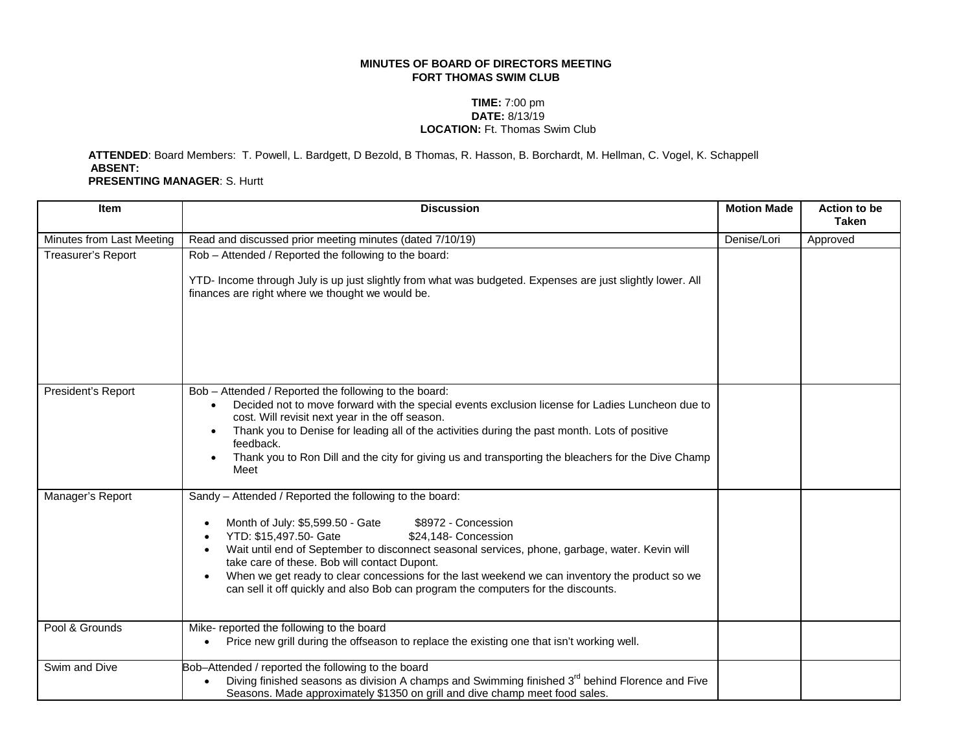## **MINUTES OF BOARD OF DIRECTORS MEETING FORT THOMAS SWIM CLUB**

## **TIME:** 7:00 pm **DATE:** 8/13/19 **LOCATION:** Ft. Thomas Swim Club

 **ATTENDED**: Board Members: T. Powell, L. Bardgett, D Bezold, B Thomas, R. Hasson, B. Borchardt, M. Hellman, C. Vogel, K. Schappell **ABSENT: PRESENTING MANAGER**: S. Hurtt

| <b>Item</b>               | <b>Discussion</b>                                                                                                                                                                                                                                                                                                                                                                                                                                                                                             | <b>Motion Made</b> | <b>Action to be</b><br><b>Taken</b> |
|---------------------------|---------------------------------------------------------------------------------------------------------------------------------------------------------------------------------------------------------------------------------------------------------------------------------------------------------------------------------------------------------------------------------------------------------------------------------------------------------------------------------------------------------------|--------------------|-------------------------------------|
| Minutes from Last Meeting | Read and discussed prior meeting minutes (dated 7/10/19)                                                                                                                                                                                                                                                                                                                                                                                                                                                      | Denise/Lori        | Approved                            |
| Treasurer's Report        | Rob - Attended / Reported the following to the board:<br>YTD- Income through July is up just slightly from what was budgeted. Expenses are just slightly lower. All<br>finances are right where we thought we would be.                                                                                                                                                                                                                                                                                       |                    |                                     |
| President's Report        | Bob - Attended / Reported the following to the board:<br>Decided not to move forward with the special events exclusion license for Ladies Luncheon due to<br>cost. Will revisit next year in the off season.<br>Thank you to Denise for leading all of the activities during the past month. Lots of positive<br>$\bullet$<br>feedback.<br>Thank you to Ron Dill and the city for giving us and transporting the bleachers for the Dive Champ<br>Meet                                                         |                    |                                     |
| Manager's Report          | Sandy - Attended / Reported the following to the board:<br>Month of July: \$5,599.50 - Gate<br>\$8972 - Concession<br>YTD: \$15,497.50- Gate<br>\$24,148- Concession<br>Wait until end of September to disconnect seasonal services, phone, garbage, water. Kevin will<br>take care of these. Bob will contact Dupont.<br>When we get ready to clear concessions for the last weekend we can inventory the product so we<br>can sell it off quickly and also Bob can program the computers for the discounts. |                    |                                     |
| Pool & Grounds            | Mike- reported the following to the board<br>Price new grill during the offseason to replace the existing one that isn't working well.                                                                                                                                                                                                                                                                                                                                                                        |                    |                                     |
| Swim and Dive             | Bob-Attended / reported the following to the board<br>Diving finished seasons as division A champs and Swimming finished 3 <sup>rd</sup> behind Florence and Five<br>Seasons. Made approximately \$1350 on grill and dive champ meet food sales.                                                                                                                                                                                                                                                              |                    |                                     |